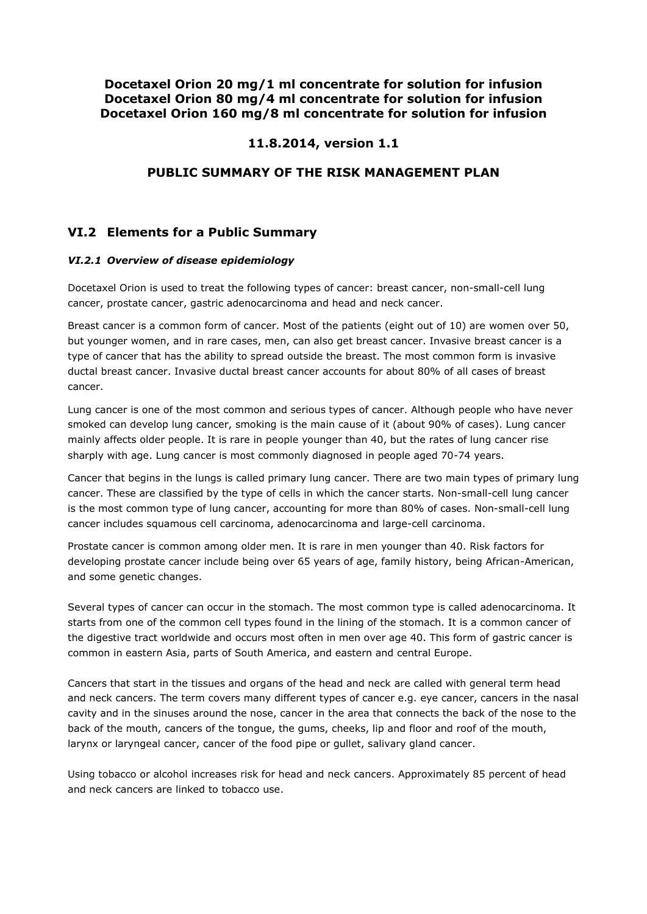## **Docetaxel Orion 20 mg/1 ml concentrate for solution for infusion Docetaxel Orion 80 mg/4 ml concentrate for solution for infusion Docetaxel Orion 160 mg/8 ml concentrate for solution for infusion**

# **11.8.2014, version 1.1**

### **PUBLIC SUMMARY OF THE RISK MANAGEMENT PLAN**

# **VI.2 Elements for a Public Summary**

### *VI.2.1 Overview of disease epidemiology*

Docetaxel Orion is used to treat the following types of cancer: breast cancer, non-small-cell lung cancer, prostate cancer, gastric adenocarcinoma and head and neck cancer.

Breast cancer is a common form of cancer. Most of the patients (eight out of 10) are women over 50, but younger women, and in rare cases, men, can also get breast cancer. Invasive breast cancer is a type of cancer that has the ability to spread outside the breast. The most common form is invasive ductal breast cancer. Invasive ductal breast cancer accounts for about 80% of all cases of breast cancer.

Lung cancer is one of the most common and serious types of cancer. Although people who have never smoked can develop lung cancer, smoking is the main cause of it (about 90% of cases). Lung cancer mainly affects older people. It is rare in people younger than 40, but the rates of lung cancer rise sharply with age. Lung cancer is most commonly diagnosed in people aged 70-74 years.

Cancer that begins in the lungs is called primary lung cancer. There are two main types of primary lung cancer. These are classified by the type of cells in which the cancer starts. Non-small-cell lung cancer is the most common type of lung cancer, accounting for more than 80% of cases. Non-small-cell lung cancer includes squamous cell carcinoma, adenocarcinoma and large-cell carcinoma.

Prostate cancer is common among older men. It is rare in men younger than 40. Risk factors for developing prostate cancer include being over 65 years of age, family history, being African-American, and some genetic changes.

Several types of cancer can occur in the stomach. The most common type is called adenocarcinoma. It starts from one of the common cell types found in the lining of the stomach. It is a common cancer of the digestive tract worldwide and occurs most often in men over age 40. This form of gastric cancer is common in eastern Asia, parts of South America, and eastern and central Europe.

Cancers that start in the tissues and organs of the head and neck are called with general term head and neck cancers. The term covers many different types of cancer e.g. eye cancer, cancers in the nasal cavity and in the sinuses around the nose, cancer in the area that connects the back of the nose to the back of the mouth, cancers of the tongue, the gums, cheeks, lip and floor and roof of the mouth, larynx or laryngeal cancer, cancer of the food pipe or gullet, salivary gland cancer.

Using tobacco or alcohol increases risk for head and neck cancers. Approximately 85 percent of head and neck cancers are linked to tobacco use.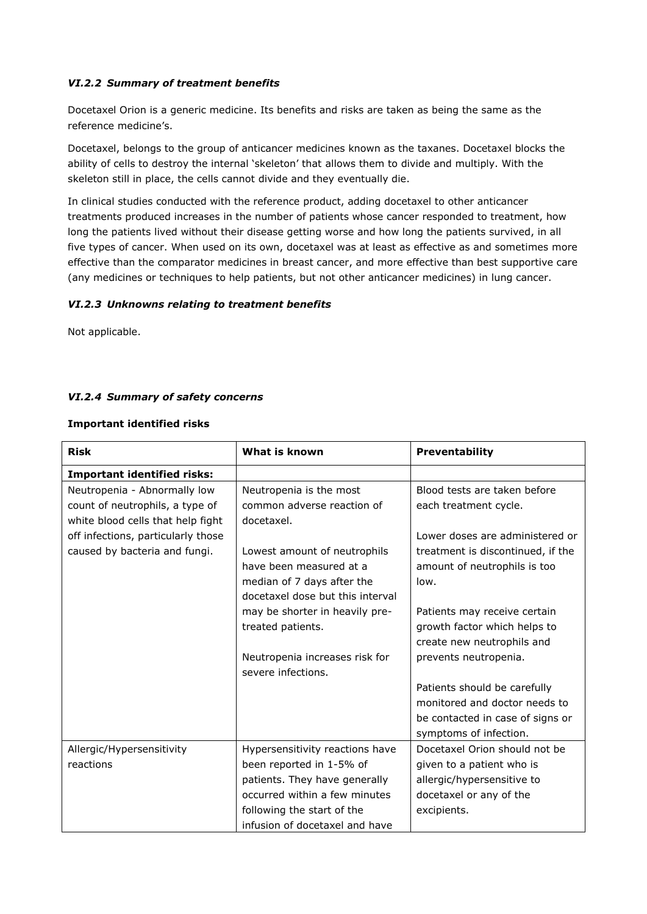### *VI.2.2 Summary of treatment benefits*

Docetaxel Orion is a generic medicine. Its benefits and risks are taken as being the same as the reference medicine's.

Docetaxel, belongs to the group of anticancer medicines known as the taxanes. Docetaxel blocks the ability of cells to destroy the internal 'skeleton' that allows them to divide and multiply. With the skeleton still in place, the cells cannot divide and they eventually die.

In clinical studies conducted with the reference product, adding docetaxel to other anticancer treatments produced increases in the number of patients whose cancer responded to treatment, how long the patients lived without their disease getting worse and how long the patients survived, in all five types of cancer. When used on its own, docetaxel was at least as effective as and sometimes more effective than the comparator medicines in breast cancer, and more effective than best supportive care (any medicines or techniques to help patients, but not other anticancer medicines) in lung cancer.

#### *VI.2.3 Unknowns relating to treatment benefits*

Not applicable.

### *VI.2.4 Summary of safety concerns*

#### **Important identified risks**

| <b>Risk</b>                        | What is known                                                | Preventability                    |
|------------------------------------|--------------------------------------------------------------|-----------------------------------|
| <b>Important identified risks:</b> |                                                              |                                   |
| Neutropenia - Abnormally low       | Neutropenia is the most                                      | Blood tests are taken before      |
| count of neutrophils, a type of    | common adverse reaction of                                   | each treatment cycle.             |
| white blood cells that help fight  | docetaxel.                                                   |                                   |
| off infections, particularly those |                                                              | Lower doses are administered or   |
| caused by bacteria and fungi.      | Lowest amount of neutrophils                                 | treatment is discontinued, if the |
|                                    | have been measured at a                                      | amount of neutrophils is too      |
|                                    | median of 7 days after the                                   | low.                              |
|                                    | docetaxel dose but this interval                             |                                   |
|                                    | may be shorter in heavily pre-                               | Patients may receive certain      |
|                                    | treated patients.                                            | growth factor which helps to      |
|                                    |                                                              | create new neutrophils and        |
|                                    | Neutropenia increases risk for                               | prevents neutropenia.             |
|                                    | severe infections.                                           |                                   |
|                                    |                                                              | Patients should be carefully      |
|                                    |                                                              | monitored and doctor needs to     |
|                                    |                                                              | be contacted in case of signs or  |
|                                    |                                                              | symptoms of infection.            |
| Allergic/Hypersensitivity          | Hypersensitivity reactions have                              | Docetaxel Orion should not be     |
| reactions                          | been reported in 1-5% of                                     | given to a patient who is         |
|                                    | patients. They have generally                                | allergic/hypersensitive to        |
|                                    | occurred within a few minutes                                | docetaxel or any of the           |
|                                    | following the start of the<br>infusion of docetaxel and have | excipients.                       |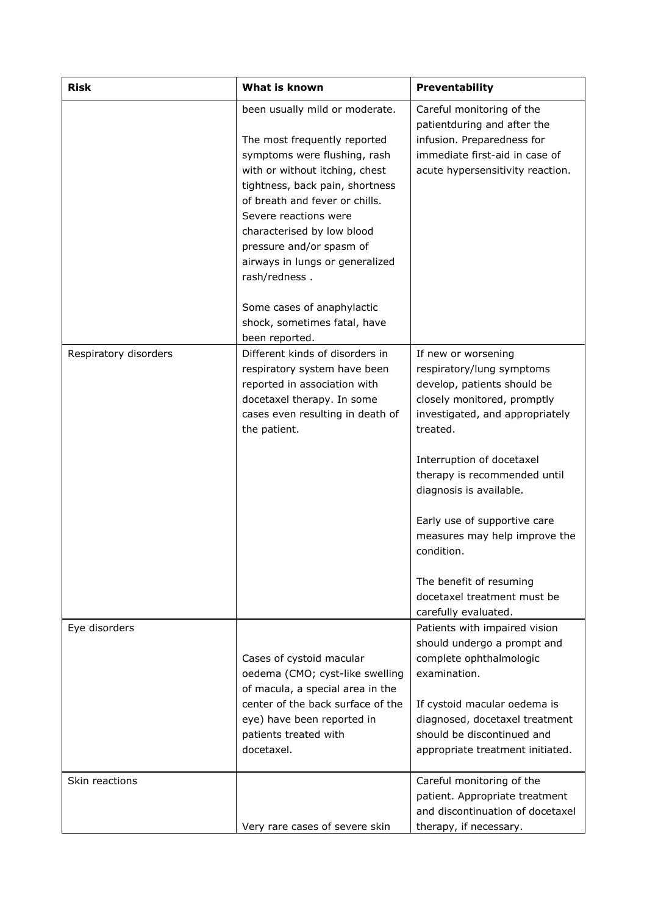| <b>Risk</b>           | <b>What is known</b>                                                                                                                                                                                                                                                                                                                                                                                       | Preventability                                                                                                                                                                                                                                                                                                                                                                                                         |  |
|-----------------------|------------------------------------------------------------------------------------------------------------------------------------------------------------------------------------------------------------------------------------------------------------------------------------------------------------------------------------------------------------------------------------------------------------|------------------------------------------------------------------------------------------------------------------------------------------------------------------------------------------------------------------------------------------------------------------------------------------------------------------------------------------------------------------------------------------------------------------------|--|
|                       | been usually mild or moderate.<br>The most frequently reported<br>symptoms were flushing, rash<br>with or without itching, chest<br>tightness, back pain, shortness<br>of breath and fever or chills.<br>Severe reactions were<br>characterised by low blood<br>pressure and/or spasm of<br>airways in lungs or generalized<br>rash/redness.<br>Some cases of anaphylactic<br>shock, sometimes fatal, have | Careful monitoring of the<br>patientduring and after the<br>infusion. Preparedness for<br>immediate first-aid in case of<br>acute hypersensitivity reaction.                                                                                                                                                                                                                                                           |  |
| Respiratory disorders | been reported.<br>Different kinds of disorders in<br>respiratory system have been<br>reported in association with<br>docetaxel therapy. In some<br>cases even resulting in death of<br>the patient.                                                                                                                                                                                                        | If new or worsening<br>respiratory/lung symptoms<br>develop, patients should be<br>closely monitored, promptly<br>investigated, and appropriately<br>treated.<br>Interruption of docetaxel<br>therapy is recommended until<br>diagnosis is available.<br>Early use of supportive care<br>measures may help improve the<br>condition.<br>The benefit of resuming<br>docetaxel treatment must be<br>carefully evaluated. |  |
| Eye disorders         | Cases of cystoid macular<br>oedema (CMO; cyst-like swelling<br>of macula, a special area in the<br>center of the back surface of the<br>eye) have been reported in<br>patients treated with<br>docetaxel.                                                                                                                                                                                                  | Patients with impaired vision<br>should undergo a prompt and<br>complete ophthalmologic<br>examination.<br>If cystoid macular oedema is<br>diagnosed, docetaxel treatment<br>should be discontinued and<br>appropriate treatment initiated.                                                                                                                                                                            |  |
| Skin reactions        | Very rare cases of severe skin                                                                                                                                                                                                                                                                                                                                                                             | Careful monitoring of the<br>patient. Appropriate treatment<br>and discontinuation of docetaxel<br>therapy, if necessary.                                                                                                                                                                                                                                                                                              |  |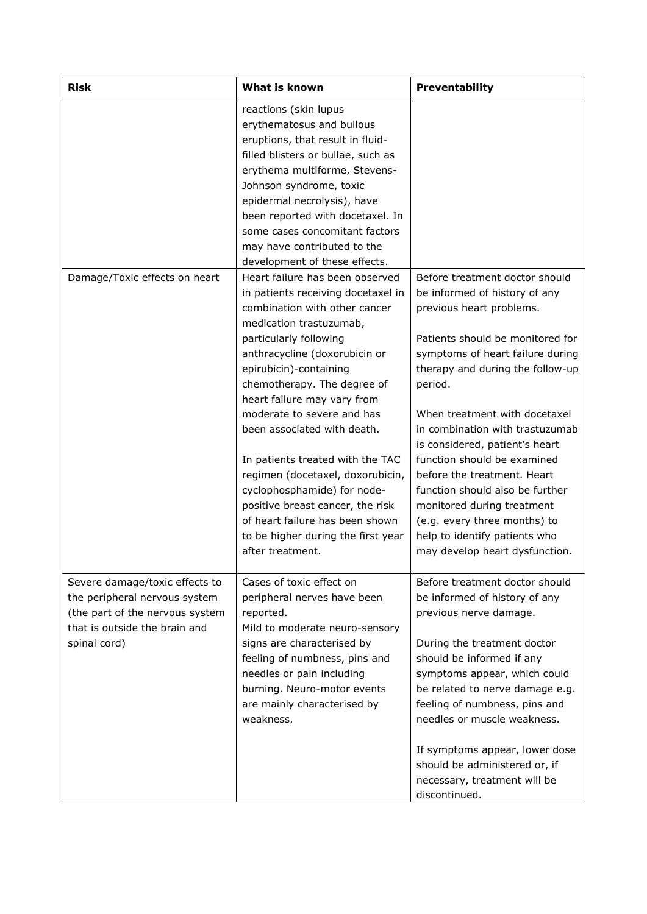| <b>Risk</b>                                                                                                                                         | What is known                                                                                                                                                                                                                                                                                                                                                                                                                                                                                                                                                                             | Preventability                                                                                                                                                                                                                                                                                                                                                                                                                                                                                                                                             |
|-----------------------------------------------------------------------------------------------------------------------------------------------------|-------------------------------------------------------------------------------------------------------------------------------------------------------------------------------------------------------------------------------------------------------------------------------------------------------------------------------------------------------------------------------------------------------------------------------------------------------------------------------------------------------------------------------------------------------------------------------------------|------------------------------------------------------------------------------------------------------------------------------------------------------------------------------------------------------------------------------------------------------------------------------------------------------------------------------------------------------------------------------------------------------------------------------------------------------------------------------------------------------------------------------------------------------------|
|                                                                                                                                                     | reactions (skin lupus<br>erythematosus and bullous<br>eruptions, that result in fluid-<br>filled blisters or bullae, such as<br>erythema multiforme, Stevens-<br>Johnson syndrome, toxic<br>epidermal necrolysis), have<br>been reported with docetaxel. In<br>some cases concomitant factors<br>may have contributed to the<br>development of these effects.                                                                                                                                                                                                                             |                                                                                                                                                                                                                                                                                                                                                                                                                                                                                                                                                            |
| Damage/Toxic effects on heart                                                                                                                       | Heart failure has been observed<br>in patients receiving docetaxel in<br>combination with other cancer<br>medication trastuzumab,<br>particularly following<br>anthracycline (doxorubicin or<br>epirubicin)-containing<br>chemotherapy. The degree of<br>heart failure may vary from<br>moderate to severe and has<br>been associated with death.<br>In patients treated with the TAC<br>regimen (docetaxel, doxorubicin,<br>cyclophosphamide) for node-<br>positive breast cancer, the risk<br>of heart failure has been shown<br>to be higher during the first year<br>after treatment. | Before treatment doctor should<br>be informed of history of any<br>previous heart problems.<br>Patients should be monitored for<br>symptoms of heart failure during<br>therapy and during the follow-up<br>period.<br>When treatment with docetaxel<br>in combination with trastuzumab<br>is considered, patient's heart<br>function should be examined<br>before the treatment. Heart<br>function should also be further<br>monitored during treatment<br>(e.g. every three months) to<br>help to identify patients who<br>may develop heart dysfunction. |
| Severe damage/toxic effects to<br>the peripheral nervous system<br>(the part of the nervous system<br>that is outside the brain and<br>spinal cord) | Cases of toxic effect on<br>peripheral nerves have been<br>reported.<br>Mild to moderate neuro-sensory<br>signs are characterised by<br>feeling of numbness, pins and<br>needles or pain including<br>burning. Neuro-motor events<br>are mainly characterised by<br>weakness.                                                                                                                                                                                                                                                                                                             | Before treatment doctor should<br>be informed of history of any<br>previous nerve damage.<br>During the treatment doctor<br>should be informed if any<br>symptoms appear, which could<br>be related to nerve damage e.g.<br>feeling of numbness, pins and<br>needles or muscle weakness.<br>If symptoms appear, lower dose<br>should be administered or, if<br>necessary, treatment will be<br>discontinued.                                                                                                                                               |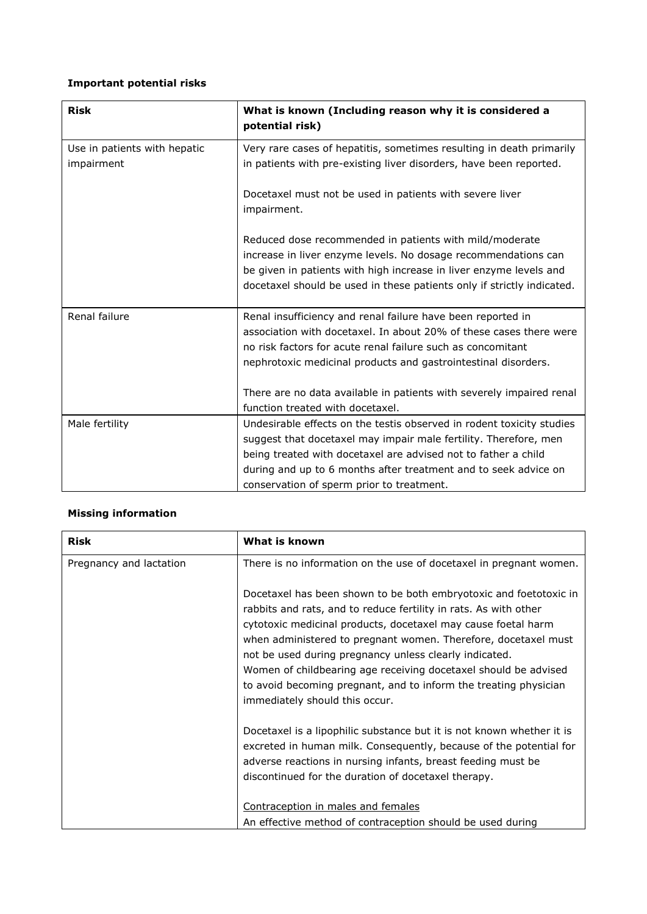# **Important potential risks**

| <b>Risk</b>                                | What is known (Including reason why it is considered a<br>potential risk)                                                                                                                                                                                                                                                   |
|--------------------------------------------|-----------------------------------------------------------------------------------------------------------------------------------------------------------------------------------------------------------------------------------------------------------------------------------------------------------------------------|
| Use in patients with hepatic<br>impairment | Very rare cases of hepatitis, sometimes resulting in death primarily<br>in patients with pre-existing liver disorders, have been reported.                                                                                                                                                                                  |
|                                            | Docetaxel must not be used in patients with severe liver<br>impairment.                                                                                                                                                                                                                                                     |
|                                            | Reduced dose recommended in patients with mild/moderate<br>increase in liver enzyme levels. No dosage recommendations can<br>be given in patients with high increase in liver enzyme levels and<br>docetaxel should be used in these patients only if strictly indicated.                                                   |
| Renal failure                              | Renal insufficiency and renal failure have been reported in<br>association with docetaxel. In about 20% of these cases there were<br>no risk factors for acute renal failure such as concomitant<br>nephrotoxic medicinal products and gastrointestinal disorders.                                                          |
|                                            | There are no data available in patients with severely impaired renal<br>function treated with docetaxel.                                                                                                                                                                                                                    |
| Male fertility                             | Undesirable effects on the testis observed in rodent toxicity studies<br>suggest that docetaxel may impair male fertility. Therefore, men<br>being treated with docetaxel are advised not to father a child<br>during and up to 6 months after treatment and to seek advice on<br>conservation of sperm prior to treatment. |

# **Missing information**

| What is known                                                                                                                                                                                                                                                                                                                                                                                                                                                                                               |  |
|-------------------------------------------------------------------------------------------------------------------------------------------------------------------------------------------------------------------------------------------------------------------------------------------------------------------------------------------------------------------------------------------------------------------------------------------------------------------------------------------------------------|--|
| There is no information on the use of docetaxel in pregnant women.                                                                                                                                                                                                                                                                                                                                                                                                                                          |  |
| Docetaxel has been shown to be both embryotoxic and foetotoxic in<br>rabbits and rats, and to reduce fertility in rats. As with other<br>cytotoxic medicinal products, docetaxel may cause foetal harm<br>when administered to pregnant women. Therefore, docetaxel must<br>not be used during pregnancy unless clearly indicated.<br>Women of childbearing age receiving docetaxel should be advised<br>to avoid becoming pregnant, and to inform the treating physician<br>immediately should this occur. |  |
| Docetaxel is a lipophilic substance but it is not known whether it is<br>excreted in human milk. Consequently, because of the potential for<br>adverse reactions in nursing infants, breast feeding must be<br>discontinued for the duration of docetaxel therapy.                                                                                                                                                                                                                                          |  |
| Contraception in males and females<br>An effective method of contraception should be used during                                                                                                                                                                                                                                                                                                                                                                                                            |  |
|                                                                                                                                                                                                                                                                                                                                                                                                                                                                                                             |  |